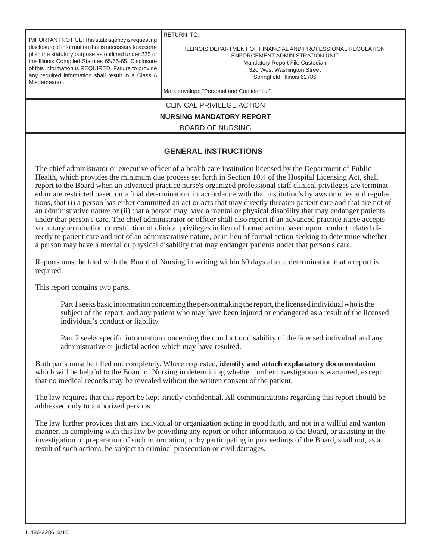IMPORTANT NOTICE: This state agency is requesting disclosure of information that is necessary to accomplish the statutory purpose as outlined under 225 of the Illinois Compiled Statutes 65/65-65. Disclosure of this information is REQUIRED. Failure to provide any required information shall result in a Class A Misdemeanor.

RETURN TO:

ILLINOIS DEPARTMENT OF FINANCIAL AND PROFESSIONAL REGULATION ENFORCEMENT ADMINISTRATION UNIT Mandatory Report File Custodian 320 West Washington Street Springfield, Illinois 62786

Mark envelope "Personal and Confidential"

CLINICAL PRIVILEGE ACTION

**NURSING MANDATORY REPORT**

BOARD OF NURSING

## **GENERAL INSTRUCTIONS**

The chief administrator or executive officer of a health care institution licensed by the Department of Public Health, which provides the minimum due process set forth in Section 10.4 of the Hospital Licensing Act, shall report to the Board when an advanced practice nurse's organized professional staff clinical privileges are terminated or are restricted based on a final determination, in accordance with that institution's bylaws or rules and regulations, that (i) a person has either committed an act or acts that may directly threaten patient care and that are not of an administrative nature or (ii) that a person may have a mental or physical disability that may endanger patients under that person's care. The chief administrator or officer shall also report if an advanced practice nurse accepts voluntary termination or restriction of clinical privileges in lieu of formal action based upon conduct related directly to patient care and not of an administrative nature, or in lieu of formal action seeking to determine whether a person may have a mental or physical disability that may endanger patients under that person's care.

Reports must be filed with the Board of Nursing in writing within 60 days after a determination that a report is required.

This report contains two parts.

 Part 1 seeks basic information concerning the person making the report, the licensed individual who is the subject of the report, and any patient who may have been injured or endangered as a result of the licensed individual's conduct or liability.

Part 2 seeks specific information concerning the conduct or disability of the licensed individual and any administrative or judicial action which may have resulted.

Both parts must be filled out completely. Where requested, **identify and attach explanatory documentation** which will be helpful to the Board of Nursing in determining whether further investigation is warranted, except that no medical records may be revealed without the written consent of the patient.

The law requires that this report be kept strictly confidential. All communications regarding this report should be addressed only to authorized persons.

The law further provides that any individual or organization acting in good faith, and not in a willful and wanton manner, in complying with this law by providing any report or other information to the Board, or assisting in the investigation or preparation of such information, or by participating in proceedings of the Board, shall not, as a result of such actions, be subject to criminal prosecution or civil damages.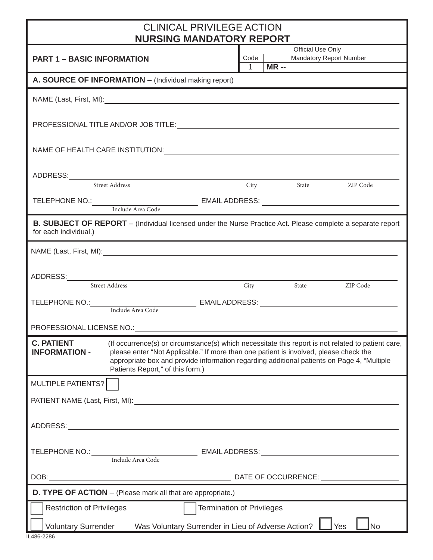## CLINICAL PRIVILEGE ACTION

| <b>NURSING MANDATORY REPORT</b>                                                                                                                                                                                                                                                                                                                                         |                   |                                 |  |  |  |  |
|-------------------------------------------------------------------------------------------------------------------------------------------------------------------------------------------------------------------------------------------------------------------------------------------------------------------------------------------------------------------------|-------------------|---------------------------------|--|--|--|--|
| <b>PART 1 - BASIC INFORMATION</b>                                                                                                                                                                                                                                                                                                                                       | Official Use Only |                                 |  |  |  |  |
|                                                                                                                                                                                                                                                                                                                                                                         |                   | Mandatory Report Number<br>Code |  |  |  |  |
| $1$ MR --<br>A. SOURCE OF INFORMATION - (Individual making report)                                                                                                                                                                                                                                                                                                      |                   |                                 |  |  |  |  |
|                                                                                                                                                                                                                                                                                                                                                                         |                   |                                 |  |  |  |  |
|                                                                                                                                                                                                                                                                                                                                                                         |                   |                                 |  |  |  |  |
|                                                                                                                                                                                                                                                                                                                                                                         |                   |                                 |  |  |  |  |
| Street Address                                                                                                                                                                                                                                                                                                                                                          |                   | City State ZIP Code             |  |  |  |  |
|                                                                                                                                                                                                                                                                                                                                                                         |                   |                                 |  |  |  |  |
| B. SUBJECT OF REPORT - (Individual licensed under the Nurse Practice Act. Please complete a separate report<br>for each individual.)                                                                                                                                                                                                                                    |                   |                                 |  |  |  |  |
|                                                                                                                                                                                                                                                                                                                                                                         |                   |                                 |  |  |  |  |
| ADDRESS:<br>Street Address City                                                                                                                                                                                                                                                                                                                                         |                   |                                 |  |  |  |  |
|                                                                                                                                                                                                                                                                                                                                                                         |                   | City State ZIP Code             |  |  |  |  |
|                                                                                                                                                                                                                                                                                                                                                                         |                   |                                 |  |  |  |  |
|                                                                                                                                                                                                                                                                                                                                                                         |                   |                                 |  |  |  |  |
|                                                                                                                                                                                                                                                                                                                                                                         |                   |                                 |  |  |  |  |
| <b>C. PATIENT</b> (If occurrence(s) or circumstance(s) which necessitate this report is not related to patient care,<br><b>INFORMATION -</b><br>please enter "Not Applicable." If more than one patient is involved, please check the<br>appropriate box and provide information regarding additional patients on Page 4, "Multiple<br>Patients Report," of this form.) |                   |                                 |  |  |  |  |
| MULTIPLE PATIENTS?                                                                                                                                                                                                                                                                                                                                                      |                   |                                 |  |  |  |  |
|                                                                                                                                                                                                                                                                                                                                                                         |                   |                                 |  |  |  |  |
|                                                                                                                                                                                                                                                                                                                                                                         |                   |                                 |  |  |  |  |
| TELEPHONE NO.: Include Area Code EMAIL ADDRESS: _________________________________                                                                                                                                                                                                                                                                                       |                   |                                 |  |  |  |  |
|                                                                                                                                                                                                                                                                                                                                                                         |                   |                                 |  |  |  |  |
| <b>D. TYPE OF ACTION</b> - (Please mark all that are appropriate.)                                                                                                                                                                                                                                                                                                      |                   |                                 |  |  |  |  |
| <b>Restriction of Privileges</b><br><b>Termination of Privileges</b>                                                                                                                                                                                                                                                                                                    |                   |                                 |  |  |  |  |
| Voluntary Surrender Was Voluntary Surrender in Lieu of Adverse Action? Ves<br>No                                                                                                                                                                                                                                                                                        |                   |                                 |  |  |  |  |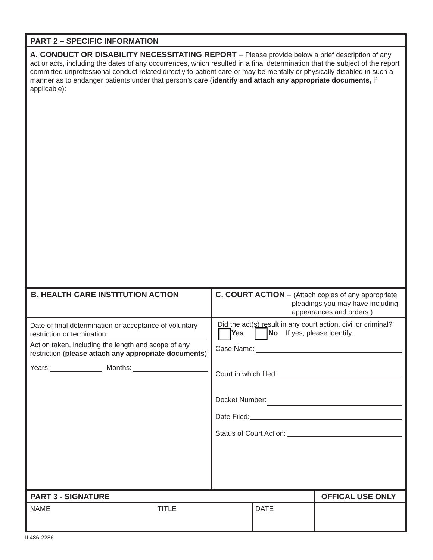## **PART 2 – SPECIFIC INFORMATION**

**A. CONDUCT OR DISABILITY NECESSITATING REPORT –** Please provide below a brief description of any act or acts, including the dates of any occurrences, which resulted in a final determination that the subject of the report committed unprofessional conduct related directly to patient care or may be mentally or physically disabled in such a manner as to endanger patients under that person's care (**identify and attach any appropriate documents,** if applicable):

| <b>B. HEALTH CARE INSTITUTION ACTION</b>                                                                                                                                | C. COURT ACTION - (Attach copies of any appropriate<br>pleadings you may have including<br>appearances and orders.)                                                                                                                 |
|-------------------------------------------------------------------------------------------------------------------------------------------------------------------------|-------------------------------------------------------------------------------------------------------------------------------------------------------------------------------------------------------------------------------------|
| Date of final determination or acceptance of voluntary<br>Action taken, including the length and scope of any<br>restriction (please attach any appropriate documents): | Did the act(s) result in any court action, civil or criminal?<br>No If yes, please identify.<br>Yes  <br>Court in which filed:<br>Docket Number:<br>Date Filed: <u>Date Filed:</u> Date Filed:<br>Status of Court Action: 2008 2014 |
| <b>PART 3 - SIGNATURE</b>                                                                                                                                               | <b>OFFICAL USE ONLY</b>                                                                                                                                                                                                             |
| <b>NAME</b><br><b>TITLE</b>                                                                                                                                             | <b>DATE</b>                                                                                                                                                                                                                         |
| $II$ $AOC$ $OOOC$                                                                                                                                                       |                                                                                                                                                                                                                                     |